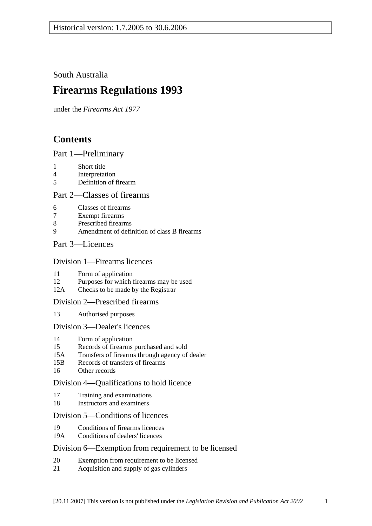South Australia

# **Firearms Regulations 1993**

under the *Firearms Act 1977*

# **Contents**

# Part 1—Preliminary

- 1 Short title
- 4 Interpretation
- 5 Definition of firearm

## Part 2—Classes of firearms

- 6 Classes of firearms
- 7 Exempt firearms
- 8 Prescribed firearms
- 9 Amendment of definition of class B firearms

# Part 3—Licences

#### Division 1—Firearms licences

- 11 Form of application
- 12 Purposes for which firearms may be used
- 12A Checks to be made by the Registrar

## Division 2—Prescribed firearms

13 Authorised purposes

## Division 3—Dealer's licences

- 14 Form of application
- 15 Records of firearms purchased and sold
- 15A Transfers of firearms through agency of dealer
- 15B Records of transfers of firearms
- 16 Other records

# Division 4—Qualifications to hold licence

- 17 Training and examinations
- 18 Instructors and examiners

# Division 5—Conditions of licences

- 19 Conditions of firearms licences
- 19A Conditions of dealers' licences

## Division 6—Exemption from requirement to be licensed

- 20 Exemption from requirement to be licensed
- 21 Acquisition and supply of gas cylinders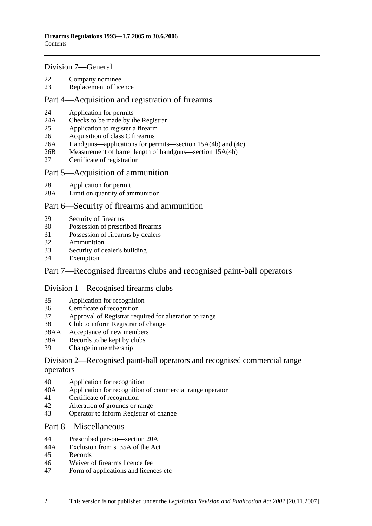#### Division 7—General

- 22 Company nominee
- 23 Replacement of licence

### Part 4—Acquisition and registration of firearms

- 24 Application for permits
- 24A Checks to be made by the Registrar
- 25 Application to register a firearm
- 26 Acquisition of class C firearms
- 26A Handguns—applications for permits—section 15A(4b) and (4c)
- 26B Measurement of barrel length of handguns—section 15A(4b)
- 27 Certificate of registration

#### Part 5—Acquisition of ammunition

- 28 Application for permit
- 28A Limit on quantity of ammunition

#### Part 6—Security of firearms and ammunition

- 29 Security of firearms
- 30 Possession of prescribed firearms
- 31 Possession of firearms by dealers
- 32 Ammunition
- 33 Security of dealer's building
- 34 Exemption

## Part 7—Recognised firearms clubs and recognised paint-ball operators

#### Division 1—Recognised firearms clubs

- 35 Application for recognition
- 36 Certificate of recognition
- 37 Approval of Registrar required for alteration to range
- 38 Club to inform Registrar of change
- 38AA Acceptance of new members
- 38A Records to be kept by clubs
- 39 Change in membership

#### Division 2—Recognised paint-ball operators and recognised commercial range operators

- 40 Application for recognition
- 40A Application for recognition of commercial range operator
- 41 Certificate of recognition
- 42 Alteration of grounds or range
- 43 Operator to inform Registrar of change

#### Part 8—Miscellaneous

- 44 Prescribed person—section 20A
- 44A Exclusion from s. 35A of the Act
- 45 Records
- 46 Waiver of firearms licence fee
- 47 Form of applications and licences etc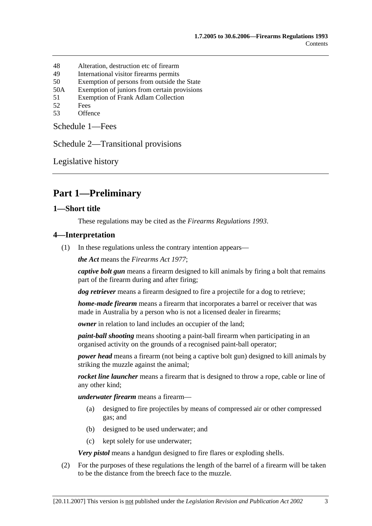- 48 Alteration, destruction etc of firearm
- 49 International visitor firearms permits
- 50 Exemption of persons from outside the State
- 50A Exemption of juniors from certain provisions
- 51 Exemption of Frank Adlam Collection
- 52 Fees
- 53 Offence

Schedule 1—Fees

Schedule 2—Transitional provisions

Legislative history

# **Part 1—Preliminary**

#### **1—Short title**

These regulations may be cited as the *Firearms Regulations 1993*.

#### **4—Interpretation**

(1) In these regulations unless the contrary intention appears—

*the Act* means the *Firearms Act 1977*;

*captive bolt gun* means a firearm designed to kill animals by firing a bolt that remains part of the firearm during and after firing;

*dog retriever* means a firearm designed to fire a projectile for a dog to retrieve;

*home-made firearm* means a firearm that incorporates a barrel or receiver that was made in Australia by a person who is not a licensed dealer in firearms;

*owner* in relation to land includes an occupier of the land;

*paint-ball shooting* means shooting a paint-ball firearm when participating in an organised activity on the grounds of a recognised paint-ball operator;

*power head* means a firearm (not being a captive bolt gun) designed to kill animals by striking the muzzle against the animal;

*rocket line launcher* means a firearm that is designed to throw a rope, cable or line of any other kind;

*underwater firearm* means a firearm—

- (a) designed to fire projectiles by means of compressed air or other compressed gas; and
- (b) designed to be used underwater; and
- (c) kept solely for use underwater;

*Very pistol* means a handgun designed to fire flares or exploding shells.

 (2) For the purposes of these regulations the length of the barrel of a firearm will be taken to be the distance from the breech face to the muzzle.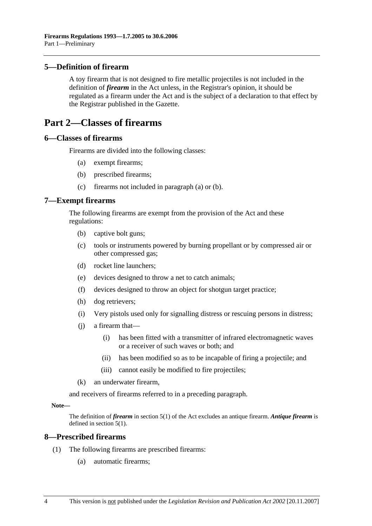## **5—Definition of firearm**

A toy firearm that is not designed to fire metallic projectiles is not included in the definition of *firearm* in the Act unless, in the Registrar's opinion, it should be regulated as a firearm under the Act and is the subject of a declaration to that effect by the Registrar published in the Gazette.

# **Part 2—Classes of firearms**

#### **6—Classes of firearms**

Firearms are divided into the following classes:

- (a) exempt firearms;
- (b) prescribed firearms;
- (c) firearms not included in paragraph (a) or (b).

#### **7—Exempt firearms**

The following firearms are exempt from the provision of the Act and these regulations:

- (b) captive bolt guns;
- (c) tools or instruments powered by burning propellant or by compressed air or other compressed gas;
- (d) rocket line launchers;
- (e) devices designed to throw a net to catch animals;
- (f) devices designed to throw an object for shotgun target practice;
- (h) dog retrievers;
- (i) Very pistols used only for signalling distress or rescuing persons in distress;
- (j) a firearm that—
	- (i) has been fitted with a transmitter of infrared electromagnetic waves or a receiver of such waves or both; and
	- (ii) has been modified so as to be incapable of firing a projectile; and
	- (iii) cannot easily be modified to fire projectiles;
- (k) an underwater firearm,

and receivers of firearms referred to in a preceding paragraph.

#### **Note—**

The definition of *firearm* in section 5(1) of the Act excludes an antique firearm. *Antique firearm* is defined in section 5(1).

#### **8—Prescribed firearms**

- (1) The following firearms are prescribed firearms:
	- (a) automatic firearms;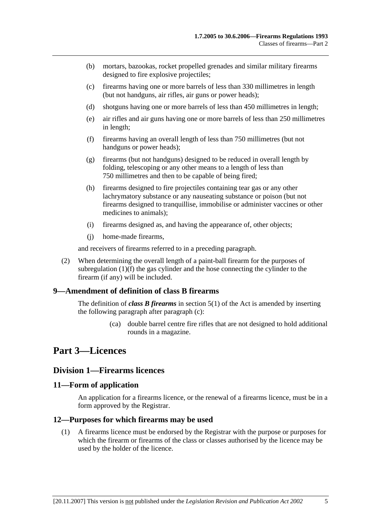- (b) mortars, bazookas, rocket propelled grenades and similar military firearms designed to fire explosive projectiles;
- (c) firearms having one or more barrels of less than 330 millimetres in length (but not handguns, air rifles, air guns or power heads);
- (d) shotguns having one or more barrels of less than 450 millimetres in length;
- (e) air rifles and air guns having one or more barrels of less than 250 millimetres in length;
- (f) firearms having an overall length of less than 750 millimetres (but not handguns or power heads);
- (g) firearms (but not handguns) designed to be reduced in overall length by folding, telescoping or any other means to a length of less than 750 millimetres and then to be capable of being fired;
- (h) firearms designed to fire projectiles containing tear gas or any other lachrymatory substance or any nauseating substance or poison (but not firearms designed to tranquillise, immobilise or administer vaccines or other medicines to animals);
- (i) firearms designed as, and having the appearance of, other objects;
- (j) home-made firearms,

and receivers of firearms referred to in a preceding paragraph.

 (2) When determining the overall length of a paint-ball firearm for the purposes of subregulation (1)(f) the gas cylinder and the hose connecting the cylinder to the firearm (if any) will be included.

## **9—Amendment of definition of class B firearms**

The definition of *class B firearms* in section 5(1) of the Act is amended by inserting the following paragraph after paragraph (c):

> (ca) double barrel centre fire rifles that are not designed to hold additional rounds in a magazine.

# **Part 3—Licences**

#### **Division 1—Firearms licences**

#### **11—Form of application**

An application for a firearms licence, or the renewal of a firearms licence, must be in a form approved by the Registrar.

#### **12—Purposes for which firearms may be used**

 (1) A firearms licence must be endorsed by the Registrar with the purpose or purposes for which the firearm or firearms of the class or classes authorised by the licence may be used by the holder of the licence.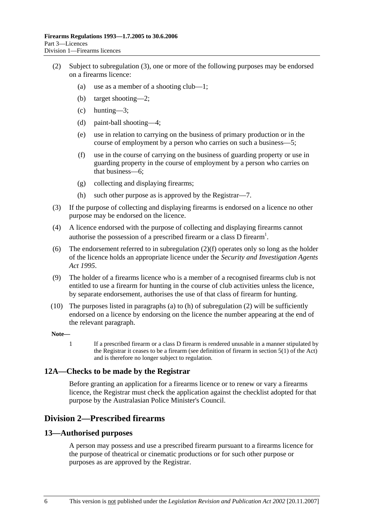- (2) Subject to subregulation (3), one or more of the following purposes may be endorsed on a firearms licence:
	- (a) use as a member of a shooting club—1;
	- (b) target shooting—2;
	- (c) hunting—3;
	- (d) paint-ball shooting—4;
	- (e) use in relation to carrying on the business of primary production or in the course of employment by a person who carries on such a business—5;
	- (f) use in the course of carrying on the business of guarding property or use in guarding property in the course of employment by a person who carries on that business—6;
	- (g) collecting and displaying firearms;
	- (h) such other purpose as is approved by the Registrar—7.
- (3) If the purpose of collecting and displaying firearms is endorsed on a licence no other purpose may be endorsed on the licence.
- (4) A licence endorsed with the purpose of collecting and displaying firearms cannot authorise the possession of a prescribed firearm or a class D firearm<sup>1</sup>.
- (6) The endorsement referred to in subregulation (2)(f) operates only so long as the holder of the licence holds an appropriate licence under the *Security and Investigation Agents Act 1995*.
- (9) The holder of a firearms licence who is a member of a recognised firearms club is not entitled to use a firearm for hunting in the course of club activities unless the licence, by separate endorsement, authorises the use of that class of firearm for hunting.
- (10) The purposes listed in paragraphs (a) to (h) of subregulation (2) will be sufficiently endorsed on a licence by endorsing on the licence the number appearing at the end of the relevant paragraph.

#### **Note—**

1 If a prescribed firearm or a class D firearm is rendered unusable in a manner stipulated by the Registrar it ceases to be a firearm (see definition of firearm in section 5(1) of the Act) and is therefore no longer subject to regulation.

#### **12A—Checks to be made by the Registrar**

Before granting an application for a firearms licence or to renew or vary a firearms licence, the Registrar must check the application against the checklist adopted for that purpose by the Australasian Police Minister's Council.

# **Division 2—Prescribed firearms**

#### **13—Authorised purposes**

A person may possess and use a prescribed firearm pursuant to a firearms licence for the purpose of theatrical or cinematic productions or for such other purpose or purposes as are approved by the Registrar.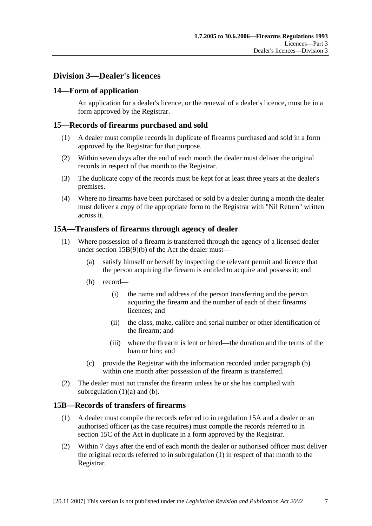# **Division 3—Dealer's licences**

# **14—Form of application**

An application for a dealer's licence, or the renewal of a dealer's licence, must be in a form approved by the Registrar.

## **15—Records of firearms purchased and sold**

- (1) A dealer must compile records in duplicate of firearms purchased and sold in a form approved by the Registrar for that purpose.
- (2) Within seven days after the end of each month the dealer must deliver the original records in respect of that month to the Registrar.
- (3) The duplicate copy of the records must be kept for at least three years at the dealer's premises.
- (4) Where no firearms have been purchased or sold by a dealer during a month the dealer must deliver a copy of the appropriate form to the Registrar with "Nil Return" written across it.

# **15A—Transfers of firearms through agency of dealer**

- (1) Where possession of a firearm is transferred through the agency of a licensed dealer under section 15B(9)(b) of the Act the dealer must—
	- (a) satisfy himself or herself by inspecting the relevant permit and licence that the person acquiring the firearm is entitled to acquire and possess it; and
	- (b) record—
		- (i) the name and address of the person transferring and the person acquiring the firearm and the number of each of their firearms licences; and
		- (ii) the class, make, calibre and serial number or other identification of the firearm; and
		- (iii) where the firearm is lent or hired—the duration and the terms of the loan or hire; and
	- (c) provide the Registrar with the information recorded under paragraph (b) within one month after possession of the firearm is transferred.
- (2) The dealer must not transfer the firearm unless he or she has complied with subregulation  $(1)(a)$  and  $(b)$ .

## **15B—Records of transfers of firearms**

- (1) A dealer must compile the records referred to in regulation 15A and a dealer or an authorised officer (as the case requires) must compile the records referred to in section 15C of the Act in duplicate in a form approved by the Registrar.
- (2) Within 7 days after the end of each month the dealer or authorised officer must deliver the original records referred to in subregulation (1) in respect of that month to the Registrar.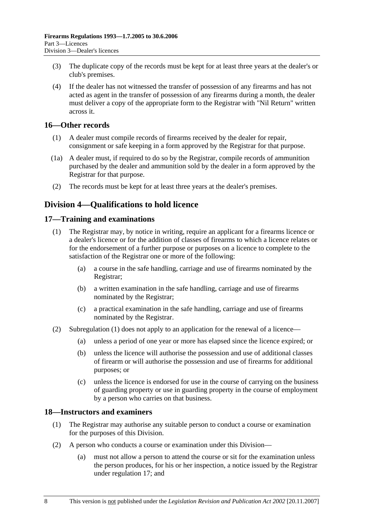- (3) The duplicate copy of the records must be kept for at least three years at the dealer's or club's premises.
- (4) If the dealer has not witnessed the transfer of possession of any firearms and has not acted as agent in the transfer of possession of any firearms during a month, the dealer must deliver a copy of the appropriate form to the Registrar with "Nil Return" written across it.

## **16—Other records**

- (1) A dealer must compile records of firearms received by the dealer for repair, consignment or safe keeping in a form approved by the Registrar for that purpose.
- (1a) A dealer must, if required to do so by the Registrar, compile records of ammunition purchased by the dealer and ammunition sold by the dealer in a form approved by the Registrar for that purpose.
- (2) The records must be kept for at least three years at the dealer's premises.

# **Division 4—Qualifications to hold licence**

#### **17—Training and examinations**

- (1) The Registrar may, by notice in writing, require an applicant for a firearms licence or a dealer's licence or for the addition of classes of firearms to which a licence relates or for the endorsement of a further purpose or purposes on a licence to complete to the satisfaction of the Registrar one or more of the following:
	- (a) a course in the safe handling, carriage and use of firearms nominated by the Registrar;
	- (b) a written examination in the safe handling, carriage and use of firearms nominated by the Registrar;
	- (c) a practical examination in the safe handling, carriage and use of firearms nominated by the Registrar.
- (2) Subregulation (1) does not apply to an application for the renewal of a licence—
	- (a) unless a period of one year or more has elapsed since the licence expired; or
	- (b) unless the licence will authorise the possession and use of additional classes of firearm or will authorise the possession and use of firearms for additional purposes; or
	- (c) unless the licence is endorsed for use in the course of carrying on the business of guarding property or use in guarding property in the course of employment by a person who carries on that business.

## **18—Instructors and examiners**

- (1) The Registrar may authorise any suitable person to conduct a course or examination for the purposes of this Division.
- (2) A person who conducts a course or examination under this Division—
	- (a) must not allow a person to attend the course or sit for the examination unless the person produces, for his or her inspection, a notice issued by the Registrar under regulation 17; and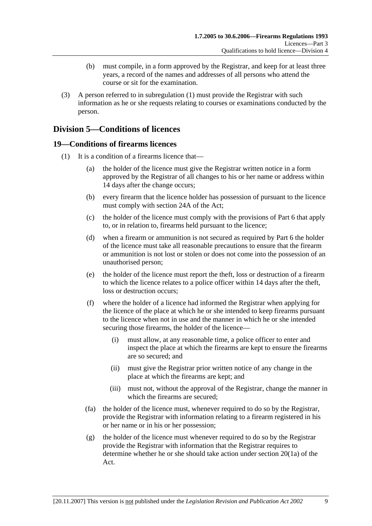- (b) must compile, in a form approved by the Registrar, and keep for at least three years, a record of the names and addresses of all persons who attend the course or sit for the examination.
- (3) A person referred to in subregulation (1) must provide the Registrar with such information as he or she requests relating to courses or examinations conducted by the person.

# **Division 5—Conditions of licences**

# **19—Conditions of firearms licences**

- (1) It is a condition of a firearms licence that—
	- (a) the holder of the licence must give the Registrar written notice in a form approved by the Registrar of all changes to his or her name or address within 14 days after the change occurs;
	- (b) every firearm that the licence holder has possession of pursuant to the licence must comply with section 24A of the Act;
	- (c) the holder of the licence must comply with the provisions of Part 6 that apply to, or in relation to, firearms held pursuant to the licence;
	- (d) when a firearm or ammunition is not secured as required by Part 6 the holder of the licence must take all reasonable precautions to ensure that the firearm or ammunition is not lost or stolen or does not come into the possession of an unauthorised person;
	- (e) the holder of the licence must report the theft, loss or destruction of a firearm to which the licence relates to a police officer within 14 days after the theft, loss or destruction occurs;
	- (f) where the holder of a licence had informed the Registrar when applying for the licence of the place at which he or she intended to keep firearms pursuant to the licence when not in use and the manner in which he or she intended securing those firearms, the holder of the licence—
		- (i) must allow, at any reasonable time, a police officer to enter and inspect the place at which the firearms are kept to ensure the firearms are so secured; and
		- (ii) must give the Registrar prior written notice of any change in the place at which the firearms are kept; and
		- (iii) must not, without the approval of the Registrar, change the manner in which the firearms are secured;
	- (fa) the holder of the licence must, whenever required to do so by the Registrar, provide the Registrar with information relating to a firearm registered in his or her name or in his or her possession;
	- (g) the holder of the licence must whenever required to do so by the Registrar provide the Registrar with information that the Registrar requires to determine whether he or she should take action under section 20(1a) of the Act.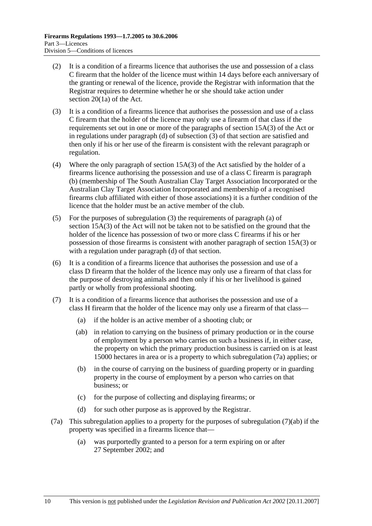- (2) It is a condition of a firearms licence that authorises the use and possession of a class C firearm that the holder of the licence must within 14 days before each anniversary of the granting or renewal of the licence, provide the Registrar with information that the Registrar requires to determine whether he or she should take action under section 20(1a) of the Act.
- (3) It is a condition of a firearms licence that authorises the possession and use of a class C firearm that the holder of the licence may only use a firearm of that class if the requirements set out in one or more of the paragraphs of section 15A(3) of the Act or in regulations under paragraph (d) of subsection (3) of that section are satisfied and then only if his or her use of the firearm is consistent with the relevant paragraph or regulation.
- (4) Where the only paragraph of section 15A(3) of the Act satisfied by the holder of a firearms licence authorising the possession and use of a class C firearm is paragraph (b) (membership of The South Australian Clay Target Association Incorporated or the Australian Clay Target Association Incorporated and membership of a recognised firearms club affiliated with either of those associations) it is a further condition of the licence that the holder must be an active member of the club.
- (5) For the purposes of subregulation (3) the requirements of paragraph (a) of section 15A(3) of the Act will not be taken not to be satisfied on the ground that the holder of the licence has possession of two or more class C firearms if his or her possession of those firearms is consistent with another paragraph of section 15A(3) or with a regulation under paragraph (d) of that section.
- (6) It is a condition of a firearms licence that authorises the possession and use of a class D firearm that the holder of the licence may only use a firearm of that class for the purpose of destroying animals and then only if his or her livelihood is gained partly or wholly from professional shooting.
- (7) It is a condition of a firearms licence that authorises the possession and use of a class H firearm that the holder of the licence may only use a firearm of that class—
	- (a) if the holder is an active member of a shooting club; or
	- (ab) in relation to carrying on the business of primary production or in the course of employment by a person who carries on such a business if, in either case, the property on which the primary production business is carried on is at least 15000 hectares in area or is a property to which subregulation (7a) applies; or
	- (b) in the course of carrying on the business of guarding property or in guarding property in the course of employment by a person who carries on that business; or
	- (c) for the purpose of collecting and displaying firearms; or
	- (d) for such other purpose as is approved by the Registrar.
- (7a) This subregulation applies to a property for the purposes of subregulation (7)(ab) if the property was specified in a firearms licence that—
	- (a) was purportedly granted to a person for a term expiring on or after 27 September 2002; and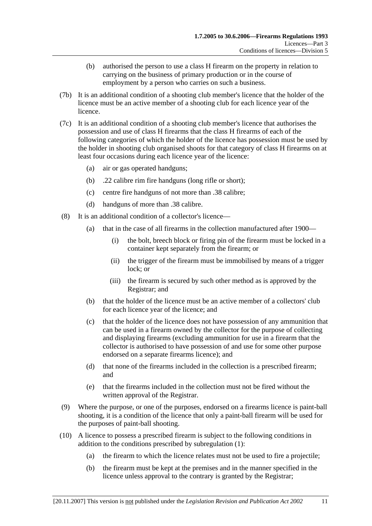- (b) authorised the person to use a class H firearm on the property in relation to carrying on the business of primary production or in the course of employment by a person who carries on such a business.
- (7b) It is an additional condition of a shooting club member's licence that the holder of the licence must be an active member of a shooting club for each licence year of the licence.
- (7c) It is an additional condition of a shooting club member's licence that authorises the possession and use of class H firearms that the class H firearms of each of the following categories of which the holder of the licence has possession must be used by the holder in shooting club organised shoots for that category of class H firearms on at least four occasions during each licence year of the licence:
	- (a) air or gas operated handguns;
	- (b) .22 calibre rim fire handguns (long rifle or short);
	- (c) centre fire handguns of not more than .38 calibre;
	- (d) handguns of more than .38 calibre.
- (8) It is an additional condition of a collector's licence—
	- (a) that in the case of all firearms in the collection manufactured after 1900—
		- (i) the bolt, breech block or firing pin of the firearm must be locked in a container kept separately from the firearm; or
		- (ii) the trigger of the firearm must be immobilised by means of a trigger lock; or
		- (iii) the firearm is secured by such other method as is approved by the Registrar; and
	- (b) that the holder of the licence must be an active member of a collectors' club for each licence year of the licence; and
	- (c) that the holder of the licence does not have possession of any ammunition that can be used in a firearm owned by the collector for the purpose of collecting and displaying firearms (excluding ammunition for use in a firearm that the collector is authorised to have possession of and use for some other purpose endorsed on a separate firearms licence); and
	- (d) that none of the firearms included in the collection is a prescribed firearm; and
	- (e) that the firearms included in the collection must not be fired without the written approval of the Registrar.
- (9) Where the purpose, or one of the purposes, endorsed on a firearms licence is paint-ball shooting, it is a condition of the licence that only a paint-ball firearm will be used for the purposes of paint-ball shooting.
- (10) A licence to possess a prescribed firearm is subject to the following conditions in addition to the conditions prescribed by subregulation (1):
	- (a) the firearm to which the licence relates must not be used to fire a projectile;
	- (b) the firearm must be kept at the premises and in the manner specified in the licence unless approval to the contrary is granted by the Registrar;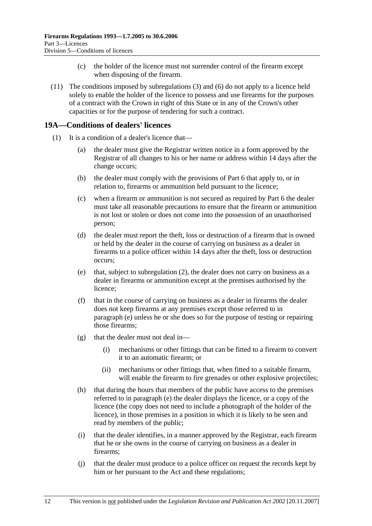- (c) the holder of the licence must not surrender control of the firearm except when disposing of the firearm.
- (11) The conditions imposed by subregulations (3) and (6) do not apply to a licence held solely to enable the holder of the licence to possess and use firearms for the purposes of a contract with the Crown in right of this State or in any of the Crown's other capacities or for the purpose of tendering for such a contract.

# **19A—Conditions of dealers' licences**

- (1) It is a condition of a dealer's licence that—
	- (a) the dealer must give the Registrar written notice in a form approved by the Registrar of all changes to his or her name or address within 14 days after the change occurs;
	- (b) the dealer must comply with the provisions of Part 6 that apply to, or in relation to, firearms or ammunition held pursuant to the licence;
	- (c) when a firearm or ammunition is not secured as required by Part 6 the dealer must take all reasonable precautions to ensure that the firearm or ammunition is not lost or stolen or does not come into the possession of an unauthorised person;
	- (d) the dealer must report the theft, loss or destruction of a firearm that is owned or held by the dealer in the course of carrying on business as a dealer in firearms to a police officer within 14 days after the theft, loss or destruction occurs;
	- (e) that, subject to subregulation (2), the dealer does not carry on business as a dealer in firearms or ammunition except at the premises authorised by the licence;
	- (f) that in the course of carrying on business as a dealer in firearms the dealer does not keep firearms at any premises except those referred to in paragraph (e) unless he or she does so for the purpose of testing or repairing those firearms;
	- (g) that the dealer must not deal in—
		- (i) mechanisms or other fittings that can be fitted to a firearm to convert it to an automatic firearm; or
		- (ii) mechanisms or other fittings that, when fitted to a suitable firearm, will enable the firearm to fire grenades or other explosive projectiles;
	- (h) that during the hours that members of the public have access to the premises referred to in paragraph (e) the dealer displays the licence, or a copy of the licence (the copy does not need to include a photograph of the holder of the licence), in those premises in a position in which it is likely to be seen and read by members of the public;
	- (i) that the dealer identifies, in a manner approved by the Registrar, each firearm that he or she owns in the course of carrying on business as a dealer in firearms;
	- (j) that the dealer must produce to a police officer on request the records kept by him or her pursuant to the Act and these regulations;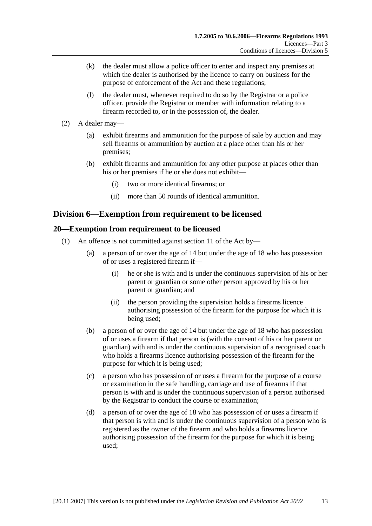- (k) the dealer must allow a police officer to enter and inspect any premises at which the dealer is authorised by the licence to carry on business for the purpose of enforcement of the Act and these regulations;
- (l) the dealer must, whenever required to do so by the Registrar or a police officer, provide the Registrar or member with information relating to a firearm recorded to, or in the possession of, the dealer.
- (2) A dealer may—
	- (a) exhibit firearms and ammunition for the purpose of sale by auction and may sell firearms or ammunition by auction at a place other than his or her premises;
	- (b) exhibit firearms and ammunition for any other purpose at places other than his or her premises if he or she does not exhibit—
		- (i) two or more identical firearms; or
		- (ii) more than 50 rounds of identical ammunition.

# **Division 6—Exemption from requirement to be licensed**

# **20—Exemption from requirement to be licensed**

- (1) An offence is not committed against section 11 of the Act by—
	- (a) a person of or over the age of 14 but under the age of 18 who has possession of or uses a registered firearm if—
		- (i) he or she is with and is under the continuous supervision of his or her parent or guardian or some other person approved by his or her parent or guardian; and
		- (ii) the person providing the supervision holds a firearms licence authorising possession of the firearm for the purpose for which it is being used;
	- (b) a person of or over the age of 14 but under the age of 18 who has possession of or uses a firearm if that person is (with the consent of his or her parent or guardian) with and is under the continuous supervision of a recognised coach who holds a firearms licence authorising possession of the firearm for the purpose for which it is being used;
	- (c) a person who has possession of or uses a firearm for the purpose of a course or examination in the safe handling, carriage and use of firearms if that person is with and is under the continuous supervision of a person authorised by the Registrar to conduct the course or examination;
	- (d) a person of or over the age of 18 who has possession of or uses a firearm if that person is with and is under the continuous supervision of a person who is registered as the owner of the firearm and who holds a firearms licence authorising possession of the firearm for the purpose for which it is being used;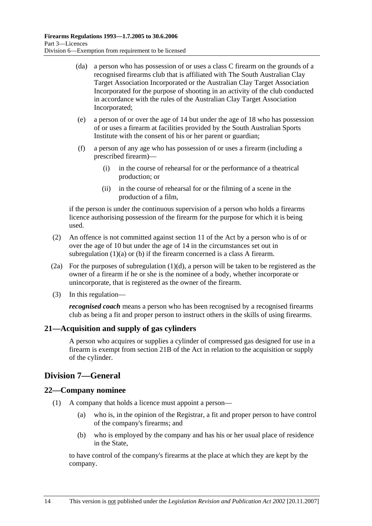- (da) a person who has possession of or uses a class C firearm on the grounds of a recognised firearms club that is affiliated with The South Australian Clay Target Association Incorporated or the Australian Clay Target Association Incorporated for the purpose of shooting in an activity of the club conducted in accordance with the rules of the Australian Clay Target Association Incorporated;
- (e) a person of or over the age of 14 but under the age of 18 who has possession of or uses a firearm at facilities provided by the South Australian Sports Institute with the consent of his or her parent or guardian;
- (f) a person of any age who has possession of or uses a firearm (including a prescribed firearm)—
	- (i) in the course of rehearsal for or the performance of a theatrical production; or
	- (ii) in the course of rehearsal for or the filming of a scene in the production of a film,

if the person is under the continuous supervision of a person who holds a firearms licence authorising possession of the firearm for the purpose for which it is being used.

- (2) An offence is not committed against section 11 of the Act by a person who is of or over the age of 10 but under the age of 14 in the circumstances set out in subregulation  $(1)(a)$  or  $(b)$  if the firearm concerned is a class A firearm.
- (2a) For the purposes of subregulation (1)(d), a person will be taken to be registered as the owner of a firearm if he or she is the nominee of a body, whether incorporate or unincorporate, that is registered as the owner of the firearm.
- (3) In this regulation—

*recognised coach* means a person who has been recognised by a recognised firearms club as being a fit and proper person to instruct others in the skills of using firearms.

# **21—Acquisition and supply of gas cylinders**

A person who acquires or supplies a cylinder of compressed gas designed for use in a firearm is exempt from section 21B of the Act in relation to the acquisition or supply of the cylinder.

# **Division 7—General**

## **22—Company nominee**

- (1) A company that holds a licence must appoint a person—
	- (a) who is, in the opinion of the Registrar, a fit and proper person to have control of the company's firearms; and
	- (b) who is employed by the company and has his or her usual place of residence in the State,

to have control of the company's firearms at the place at which they are kept by the company.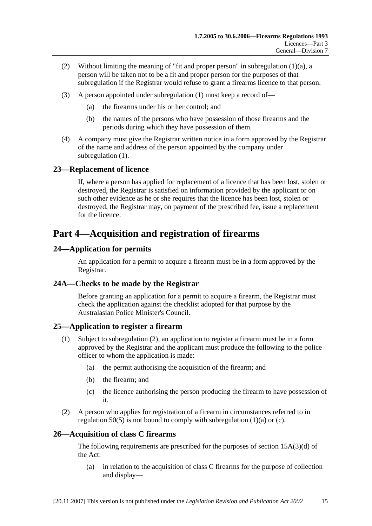- (2) Without limiting the meaning of "fit and proper person" in subregulation (1)(a), a person will be taken not to be a fit and proper person for the purposes of that subregulation if the Registrar would refuse to grant a firearms licence to that person.
- (3) A person appointed under subregulation (1) must keep a record of—
	- (a) the firearms under his or her control; and
	- (b) the names of the persons who have possession of those firearms and the periods during which they have possession of them.
- (4) A company must give the Registrar written notice in a form approved by the Registrar of the name and address of the person appointed by the company under subregulation (1).

# **23—Replacement of licence**

If, where a person has applied for replacement of a licence that has been lost, stolen or destroyed, the Registrar is satisfied on information provided by the applicant or on such other evidence as he or she requires that the licence has been lost, stolen or destroyed, the Registrar may, on payment of the prescribed fee, issue a replacement for the licence.

# **Part 4—Acquisition and registration of firearms**

# **24—Application for permits**

An application for a permit to acquire a firearm must be in a form approved by the Registrar.

## **24A—Checks to be made by the Registrar**

Before granting an application for a permit to acquire a firearm, the Registrar must check the application against the checklist adopted for that purpose by the Australasian Police Minister's Council.

## **25—Application to register a firearm**

- (1) Subject to subregulation (2), an application to register a firearm must be in a form approved by the Registrar and the applicant must produce the following to the police officer to whom the application is made:
	- (a) the permit authorising the acquisition of the firearm; and
	- (b) the firearm; and
	- (c) the licence authorising the person producing the firearm to have possession of it.
- (2) A person who applies for registration of a firearm in circumstances referred to in regulation  $50(5)$  is not bound to comply with subregulation (1)(a) or (c).

## **26—Acquisition of class C firearms**

The following requirements are prescribed for the purposes of section 15A(3)(d) of the Act:

 (a) in relation to the acquisition of class C firearms for the purpose of collection and display—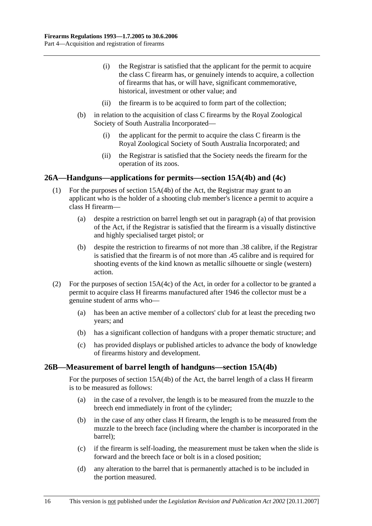- (i) the Registrar is satisfied that the applicant for the permit to acquire the class C firearm has, or genuinely intends to acquire, a collection of firearms that has, or will have, significant commemorative, historical, investment or other value; and
- (ii) the firearm is to be acquired to form part of the collection;
- (b) in relation to the acquisition of class C firearms by the Royal Zoological Society of South Australia Incorporated—
	- (i) the applicant for the permit to acquire the class C firearm is the Royal Zoological Society of South Australia Incorporated; and
	- (ii) the Registrar is satisfied that the Society needs the firearm for the operation of its zoos.

#### **26A—Handguns—applications for permits—section 15A(4b) and (4c)**

- (1) For the purposes of section 15A(4b) of the Act, the Registrar may grant to an applicant who is the holder of a shooting club member's licence a permit to acquire a class H firearm—
	- (a) despite a restriction on barrel length set out in paragraph (a) of that provision of the Act, if the Registrar is satisfied that the firearm is a visually distinctive and highly specialised target pistol; or
	- (b) despite the restriction to firearms of not more than .38 calibre, if the Registrar is satisfied that the firearm is of not more than .45 calibre and is required for shooting events of the kind known as metallic silhouette or single (western) action.
- (2) For the purposes of section 15A(4c) of the Act, in order for a collector to be granted a permit to acquire class H firearms manufactured after 1946 the collector must be a genuine student of arms who—
	- (a) has been an active member of a collectors' club for at least the preceding two years; and
	- (b) has a significant collection of handguns with a proper thematic structure; and
	- (c) has provided displays or published articles to advance the body of knowledge of firearms history and development.

#### **26B—Measurement of barrel length of handguns—section 15A(4b)**

For the purposes of section 15A(4b) of the Act, the barrel length of a class H firearm is to be measured as follows:

- (a) in the case of a revolver, the length is to be measured from the muzzle to the breech end immediately in front of the cylinder;
- (b) in the case of any other class H firearm, the length is to be measured from the muzzle to the breech face (including where the chamber is incorporated in the barrel);
- (c) if the firearm is self-loading, the measurement must be taken when the slide is forward and the breech face or bolt is in a closed position;
- (d) any alteration to the barrel that is permanently attached is to be included in the portion measured.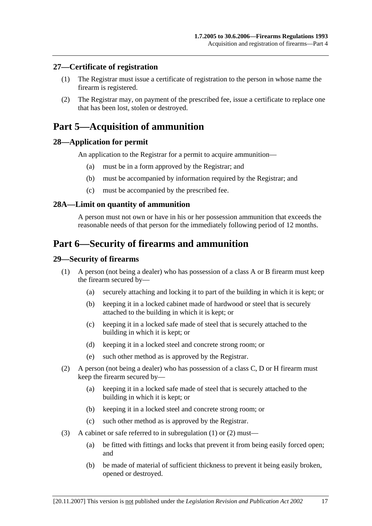#### **27—Certificate of registration**

- (1) The Registrar must issue a certificate of registration to the person in whose name the firearm is registered.
- (2) The Registrar may, on payment of the prescribed fee, issue a certificate to replace one that has been lost, stolen or destroyed.

# **Part 5—Acquisition of ammunition**

#### **28—Application for permit**

An application to the Registrar for a permit to acquire ammunition—

- (a) must be in a form approved by the Registrar; and
- (b) must be accompanied by information required by the Registrar; and
- (c) must be accompanied by the prescribed fee.

#### **28A—Limit on quantity of ammunition**

A person must not own or have in his or her possession ammunition that exceeds the reasonable needs of that person for the immediately following period of 12 months.

# **Part 6—Security of firearms and ammunition**

#### **29—Security of firearms**

- (1) A person (not being a dealer) who has possession of a class A or B firearm must keep the firearm secured by—
	- (a) securely attaching and locking it to part of the building in which it is kept; or
	- (b) keeping it in a locked cabinet made of hardwood or steel that is securely attached to the building in which it is kept; or
	- (c) keeping it in a locked safe made of steel that is securely attached to the building in which it is kept; or
	- (d) keeping it in a locked steel and concrete strong room; or
	- (e) such other method as is approved by the Registrar.
- (2) A person (not being a dealer) who has possession of a class C, D or H firearm must keep the firearm secured by—
	- (a) keeping it in a locked safe made of steel that is securely attached to the building in which it is kept; or
	- (b) keeping it in a locked steel and concrete strong room; or
	- (c) such other method as is approved by the Registrar.
- (3) A cabinet or safe referred to in subregulation (1) or (2) must—
	- (a) be fitted with fittings and locks that prevent it from being easily forced open; and
	- (b) be made of material of sufficient thickness to prevent it being easily broken, opened or destroyed.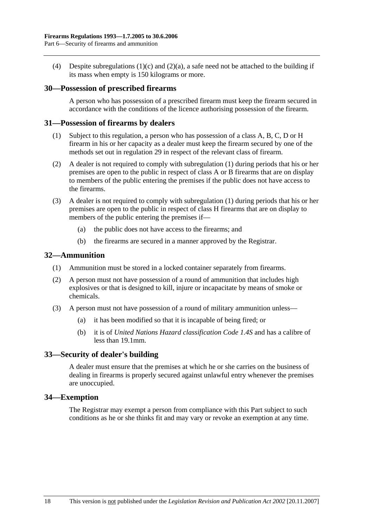(4) Despite subregulations (1)(c) and (2)(a), a safe need not be attached to the building if its mass when empty is 150 kilograms or more.

#### **30—Possession of prescribed firearms**

A person who has possession of a prescribed firearm must keep the firearm secured in accordance with the conditions of the licence authorising possession of the firearm.

#### **31—Possession of firearms by dealers**

- (1) Subject to this regulation, a person who has possession of a class A, B, C, D or H firearm in his or her capacity as a dealer must keep the firearm secured by one of the methods set out in regulation 29 in respect of the relevant class of firearm.
- (2) A dealer is not required to comply with subregulation (1) during periods that his or her premises are open to the public in respect of class A or B firearms that are on display to members of the public entering the premises if the public does not have access to the firearms.
- (3) A dealer is not required to comply with subregulation (1) during periods that his or her premises are open to the public in respect of class H firearms that are on display to members of the public entering the premises if—
	- (a) the public does not have access to the firearms; and
	- (b) the firearms are secured in a manner approved by the Registrar.

#### **32—Ammunition**

- (1) Ammunition must be stored in a locked container separately from firearms.
- (2) A person must not have possession of a round of ammunition that includes high explosives or that is designed to kill, injure or incapacitate by means of smoke or chemicals.
- (3) A person must not have possession of a round of military ammunition unless—
	- (a) it has been modified so that it is incapable of being fired; or
	- (b) it is of *United Nations Hazard classification Code 1.4S* and has a calibre of less than 19.1mm.

#### **33—Security of dealer's building**

A dealer must ensure that the premises at which he or she carries on the business of dealing in firearms is properly secured against unlawful entry whenever the premises are unoccupied.

#### **34—Exemption**

The Registrar may exempt a person from compliance with this Part subject to such conditions as he or she thinks fit and may vary or revoke an exemption at any time.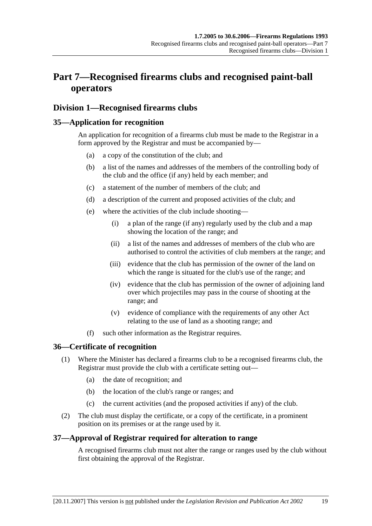# **Part 7—Recognised firearms clubs and recognised paint-ball operators**

# **Division 1—Recognised firearms clubs**

# **35—Application for recognition**

An application for recognition of a firearms club must be made to the Registrar in a form approved by the Registrar and must be accompanied by—

- (a) a copy of the constitution of the club; and
- (b) a list of the names and addresses of the members of the controlling body of the club and the office (if any) held by each member; and
- (c) a statement of the number of members of the club; and
- (d) a description of the current and proposed activities of the club; and
- (e) where the activities of the club include shooting—
	- (i) a plan of the range (if any) regularly used by the club and a map showing the location of the range; and
	- (ii) a list of the names and addresses of members of the club who are authorised to control the activities of club members at the range; and
	- (iii) evidence that the club has permission of the owner of the land on which the range is situated for the club's use of the range; and
	- (iv) evidence that the club has permission of the owner of adjoining land over which projectiles may pass in the course of shooting at the range; and
	- (v) evidence of compliance with the requirements of any other Act relating to the use of land as a shooting range; and
- (f) such other information as the Registrar requires.

## **36—Certificate of recognition**

- (1) Where the Minister has declared a firearms club to be a recognised firearms club, the Registrar must provide the club with a certificate setting out—
	- (a) the date of recognition; and
	- (b) the location of the club's range or ranges; and
	- (c) the current activities (and the proposed activities if any) of the club.
- (2) The club must display the certificate, or a copy of the certificate, in a prominent position on its premises or at the range used by it.

## **37—Approval of Registrar required for alteration to range**

A recognised firearms club must not alter the range or ranges used by the club without first obtaining the approval of the Registrar.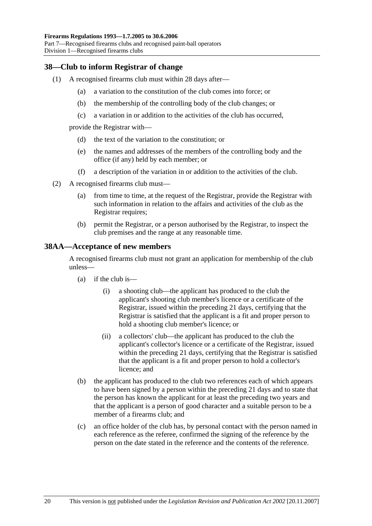## **38—Club to inform Registrar of change**

- (1) A recognised firearms club must within 28 days after—
	- (a) a variation to the constitution of the club comes into force; or
	- (b) the membership of the controlling body of the club changes; or
	- (c) a variation in or addition to the activities of the club has occurred,

provide the Registrar with—

- (d) the text of the variation to the constitution; or
- (e) the names and addresses of the members of the controlling body and the office (if any) held by each member; or
- (f) a description of the variation in or addition to the activities of the club.
- (2) A recognised firearms club must—
	- (a) from time to time, at the request of the Registrar, provide the Registrar with such information in relation to the affairs and activities of the club as the Registrar requires;
	- (b) permit the Registrar, or a person authorised by the Registrar, to inspect the club premises and the range at any reasonable time.

#### **38AA—Acceptance of new members**

A recognised firearms club must not grant an application for membership of the club unless—

- $(a)$  if the club is—
	- (i) a shooting club—the applicant has produced to the club the applicant's shooting club member's licence or a certificate of the Registrar, issued within the preceding 21 days, certifying that the Registrar is satisfied that the applicant is a fit and proper person to hold a shooting club member's licence; or
	- (ii) a collectors' club—the applicant has produced to the club the applicant's collector's licence or a certificate of the Registrar, issued within the preceding 21 days, certifying that the Registrar is satisfied that the applicant is a fit and proper person to hold a collector's licence; and
- (b) the applicant has produced to the club two references each of which appears to have been signed by a person within the preceding 21 days and to state that the person has known the applicant for at least the preceding two years and that the applicant is a person of good character and a suitable person to be a member of a firearms club; and
- (c) an office holder of the club has, by personal contact with the person named in each reference as the referee, confirmed the signing of the reference by the person on the date stated in the reference and the contents of the reference.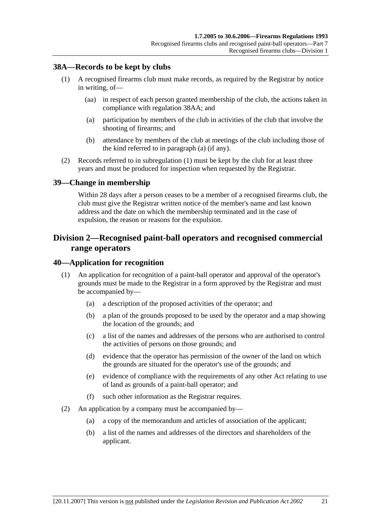## **38A—Records to be kept by clubs**

- (1) A recognised firearms club must make records, as required by the Registrar by notice in writing, of—
	- (aa) in respect of each person granted membership of the club, the actions taken in compliance with regulation 38AA; and
	- (a) participation by members of the club in activities of the club that involve the shooting of firearms; and
	- (b) attendance by members of the club at meetings of the club including those of the kind referred to in paragraph (a) (if any).
- (2) Records referred to in subregulation (1) must be kept by the club for at least three years and must be produced for inspection when requested by the Registrar.

#### **39—Change in membership**

Within 28 days after a person ceases to be a member of a recognised firearms club, the club must give the Registrar written notice of the member's name and last known address and the date on which the membership terminated and in the case of expulsion, the reason or reasons for the expulsion.

# **Division 2—Recognised paint-ball operators and recognised commercial range operators**

#### **40—Application for recognition**

- (1) An application for recognition of a paint-ball operator and approval of the operator's grounds must be made to the Registrar in a form approved by the Registrar and must be accompanied by—
	- (a) a description of the proposed activities of the operator; and
	- (b) a plan of the grounds proposed to be used by the operator and a map showing the location of the grounds; and
	- (c) a list of the names and addresses of the persons who are authorised to control the activities of persons on those grounds; and
	- (d) evidence that the operator has permission of the owner of the land on which the grounds are situated for the operator's use of the grounds; and
	- (e) evidence of compliance with the requirements of any other Act relating to use of land as grounds of a paint-ball operator; and
	- (f) such other information as the Registrar requires.
- (2) An application by a company must be accompanied by—
	- (a) a copy of the memorandum and articles of association of the applicant;
	- (b) a list of the names and addresses of the directors and shareholders of the applicant.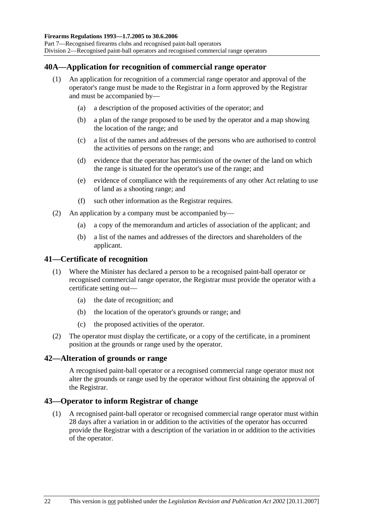# **40A—Application for recognition of commercial range operator**

- (1) An application for recognition of a commercial range operator and approval of the operator's range must be made to the Registrar in a form approved by the Registrar and must be accompanied by—
	- (a) a description of the proposed activities of the operator; and
	- (b) a plan of the range proposed to be used by the operator and a map showing the location of the range; and
	- (c) a list of the names and addresses of the persons who are authorised to control the activities of persons on the range; and
	- (d) evidence that the operator has permission of the owner of the land on which the range is situated for the operator's use of the range; and
	- (e) evidence of compliance with the requirements of any other Act relating to use of land as a shooting range; and
	- (f) such other information as the Registrar requires.
- (2) An application by a company must be accompanied by—
	- (a) a copy of the memorandum and articles of association of the applicant; and
	- (b) a list of the names and addresses of the directors and shareholders of the applicant.

#### **41—Certificate of recognition**

- (1) Where the Minister has declared a person to be a recognised paint-ball operator or recognised commercial range operator, the Registrar must provide the operator with a certificate setting out—
	- (a) the date of recognition; and
	- (b) the location of the operator's grounds or range; and
	- (c) the proposed activities of the operator.
- (2) The operator must display the certificate, or a copy of the certificate, in a prominent position at the grounds or range used by the operator.

#### **42—Alteration of grounds or range**

A recognised paint-ball operator or a recognised commercial range operator must not alter the grounds or range used by the operator without first obtaining the approval of the Registrar.

#### **43—Operator to inform Registrar of change**

 (1) A recognised paint-ball operator or recognised commercial range operator must within 28 days after a variation in or addition to the activities of the operator has occurred provide the Registrar with a description of the variation in or addition to the activities of the operator.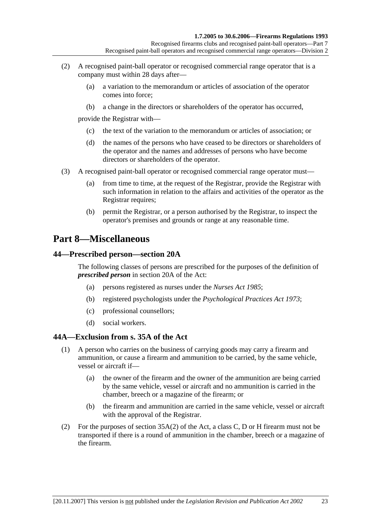- (2) A recognised paint-ball operator or recognised commercial range operator that is a company must within 28 days after—
	- (a) a variation to the memorandum or articles of association of the operator comes into force;
	- (b) a change in the directors or shareholders of the operator has occurred,

provide the Registrar with—

- (c) the text of the variation to the memorandum or articles of association; or
- (d) the names of the persons who have ceased to be directors or shareholders of the operator and the names and addresses of persons who have become directors or shareholders of the operator.
- (3) A recognised paint-ball operator or recognised commercial range operator must—
	- (a) from time to time, at the request of the Registrar, provide the Registrar with such information in relation to the affairs and activities of the operator as the Registrar requires;
	- (b) permit the Registrar, or a person authorised by the Registrar, to inspect the operator's premises and grounds or range at any reasonable time.

# **Part 8—Miscellaneous**

#### **44—Prescribed person—section 20A**

The following classes of persons are prescribed for the purposes of the definition of *prescribed person* in section 20A of the Act:

- (a) persons registered as nurses under the *Nurses Act 1985*;
- (b) registered psychologists under the *Psychological Practices Act 1973*;
- (c) professional counsellors;
- (d) social workers.

## **44A—Exclusion from s. 35A of the Act**

- (1) A person who carries on the business of carrying goods may carry a firearm and ammunition, or cause a firearm and ammunition to be carried, by the same vehicle, vessel or aircraft if—
	- (a) the owner of the firearm and the owner of the ammunition are being carried by the same vehicle, vessel or aircraft and no ammunition is carried in the chamber, breech or a magazine of the firearm; or
	- (b) the firearm and ammunition are carried in the same vehicle, vessel or aircraft with the approval of the Registrar.
- (2) For the purposes of section 35A(2) of the Act, a class C, D or H firearm must not be transported if there is a round of ammunition in the chamber, breech or a magazine of the firearm.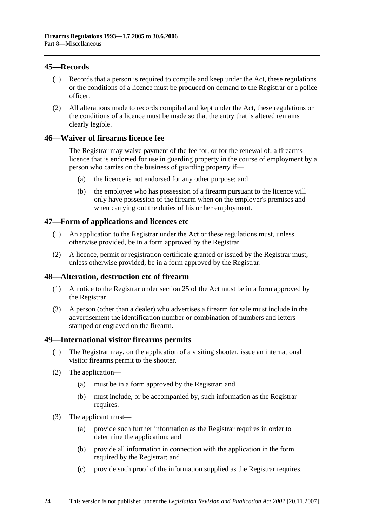# **45—Records**

- (1) Records that a person is required to compile and keep under the Act, these regulations or the conditions of a licence must be produced on demand to the Registrar or a police officer.
- (2) All alterations made to records compiled and kept under the Act, these regulations or the conditions of a licence must be made so that the entry that is altered remains clearly legible.

# **46—Waiver of firearms licence fee**

The Registrar may waive payment of the fee for, or for the renewal of, a firearms licence that is endorsed for use in guarding property in the course of employment by a person who carries on the business of guarding property if—

- (a) the licence is not endorsed for any other purpose; and
- (b) the employee who has possession of a firearm pursuant to the licence will only have possession of the firearm when on the employer's premises and when carrying out the duties of his or her employment.

## **47—Form of applications and licences etc**

- (1) An application to the Registrar under the Act or these regulations must, unless otherwise provided, be in a form approved by the Registrar.
- (2) A licence, permit or registration certificate granted or issued by the Registrar must, unless otherwise provided, be in a form approved by the Registrar.

## **48—Alteration, destruction etc of firearm**

- (1) A notice to the Registrar under section 25 of the Act must be in a form approved by the Registrar.
- (3) A person (other than a dealer) who advertises a firearm for sale must include in the advertisement the identification number or combination of numbers and letters stamped or engraved on the firearm.

#### **49—International visitor firearms permits**

- (1) The Registrar may, on the application of a visiting shooter, issue an international visitor firearms permit to the shooter.
- (2) The application—
	- (a) must be in a form approved by the Registrar; and
	- (b) must include, or be accompanied by, such information as the Registrar requires.
- (3) The applicant must—
	- (a) provide such further information as the Registrar requires in order to determine the application; and
	- (b) provide all information in connection with the application in the form required by the Registrar; and
	- (c) provide such proof of the information supplied as the Registrar requires.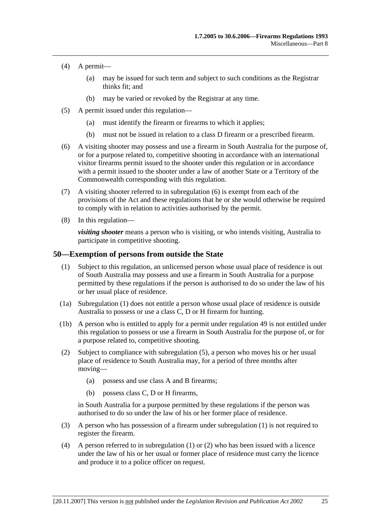- (4) A permit—
	- (a) may be issued for such term and subject to such conditions as the Registrar thinks fit; and
	- (b) may be varied or revoked by the Registrar at any time.
- (5) A permit issued under this regulation—
	- (a) must identify the firearm or firearms to which it applies;
	- (b) must not be issued in relation to a class D firearm or a prescribed firearm.
- (6) A visiting shooter may possess and use a firearm in South Australia for the purpose of, or for a purpose related to, competitive shooting in accordance with an international visitor firearms permit issued to the shooter under this regulation or in accordance with a permit issued to the shooter under a law of another State or a Territory of the Commonwealth corresponding with this regulation.
- (7) A visiting shooter referred to in subregulation (6) is exempt from each of the provisions of the Act and these regulations that he or she would otherwise be required to comply with in relation to activities authorised by the permit.
- (8) In this regulation—

*visiting shooter* means a person who is visiting, or who intends visiting, Australia to participate in competitive shooting.

#### **50—Exemption of persons from outside the State**

- (1) Subject to this regulation, an unlicensed person whose usual place of residence is out of South Australia may possess and use a firearm in South Australia for a purpose permitted by these regulations if the person is authorised to do so under the law of his or her usual place of residence.
- (1a) Subregulation (1) does not entitle a person whose usual place of residence is outside Australia to possess or use a class C, D or H firearm for hunting.
- (1b) A person who is entitled to apply for a permit under regulation 49 is not entitled under this regulation to possess or use a firearm in South Australia for the purpose of, or for a purpose related to, competitive shooting.
- (2) Subject to compliance with subregulation (5), a person who moves his or her usual place of residence to South Australia may, for a period of three months after moving—
	- (a) possess and use class A and B firearms;
	- (b) possess class C, D or H firearms,

in South Australia for a purpose permitted by these regulations if the person was authorised to do so under the law of his or her former place of residence.

- (3) A person who has possession of a firearm under subregulation (1) is not required to register the firearm.
- (4) A person referred to in subregulation (1) or (2) who has been issued with a licence under the law of his or her usual or former place of residence must carry the licence and produce it to a police officer on request.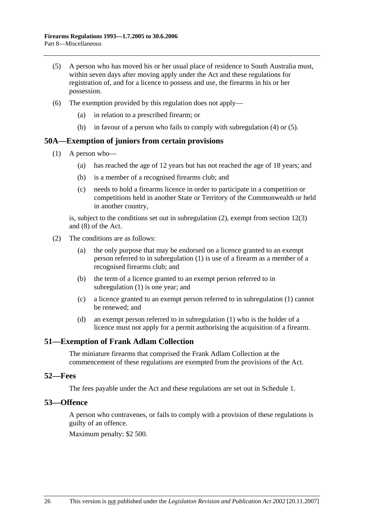- (5) A person who has moved his or her usual place of residence to South Australia must, within seven days after moving apply under the Act and these regulations for registration of, and for a licence to possess and use, the firearms in his or her possession.
- (6) The exemption provided by this regulation does not apply—
	- (a) in relation to a prescribed firearm; or
	- (b) in favour of a person who fails to comply with subregulation (4) or (5).

#### **50A—Exemption of juniors from certain provisions**

- (1) A person who—
	- (a) has reached the age of 12 years but has not reached the age of 18 years; and
	- (b) is a member of a recognised firearms club; and
	- (c) needs to hold a firearms licence in order to participate in a competition or competitions held in another State or Territory of the Commonwealth or held in another country,

is, subject to the conditions set out in subregulation (2), exempt from section 12(3) and (8) of the Act.

- (2) The conditions are as follows:
	- (a) the only purpose that may be endorsed on a licence granted to an exempt person referred to in subregulation (1) is use of a firearm as a member of a recognised firearms club; and
	- (b) the term of a licence granted to an exempt person referred to in subregulation (1) is one year; and
	- (c) a licence granted to an exempt person referred to in subregulation (1) cannot be renewed; and
	- (d) an exempt person referred to in subregulation (1) who is the holder of a licence must not apply for a permit authorising the acquisition of a firearm.

#### **51—Exemption of Frank Adlam Collection**

The miniature firearms that comprised the Frank Adlam Collection at the commencement of these regulations are exempted from the provisions of the Act.

#### **52—Fees**

The fees payable under the Act and these regulations are set out in Schedule 1.

#### **53—Offence**

A person who contravenes, or fails to comply with a provision of these regulations is guilty of an offence.

Maximum penalty: \$2 500.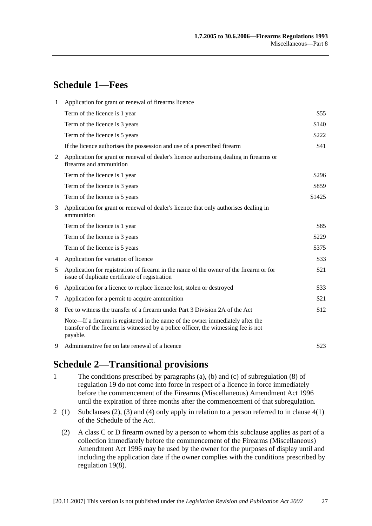# **Schedule 1—Fees**

| 1              | Application for grant or renewal of firearms licence                                                                                                                              |        |
|----------------|-----------------------------------------------------------------------------------------------------------------------------------------------------------------------------------|--------|
|                | Term of the licence is 1 year                                                                                                                                                     | \$55   |
|                | Term of the licence is 3 years                                                                                                                                                    | \$140  |
|                | Term of the licence is 5 years                                                                                                                                                    | \$222  |
|                | If the licence authorises the possession and use of a prescribed firearm                                                                                                          | \$41   |
| 2              | Application for grant or renewal of dealer's licence authorising dealing in firearms or<br>firearms and ammunition                                                                |        |
|                | Term of the licence is 1 year                                                                                                                                                     | \$296  |
|                | Term of the licence is 3 years                                                                                                                                                    | \$859  |
|                | Term of the licence is 5 years                                                                                                                                                    | \$1425 |
| 3              | Application for grant or renewal of dealer's licence that only authorises dealing in<br>ammunition                                                                                |        |
|                | Term of the licence is 1 year                                                                                                                                                     | \$85   |
|                | Term of the licence is 3 years                                                                                                                                                    | \$229  |
|                | Term of the licence is 5 years                                                                                                                                                    | \$375  |
| $\overline{4}$ | Application for variation of licence                                                                                                                                              | \$33   |
| 5              | Application for registration of firearm in the name of the owner of the firearm or for<br>issue of duplicate certificate of registration                                          | \$21   |
| 6              | Application for a licence to replace licence lost, stolen or destroyed                                                                                                            | \$33   |
| 7              | Application for a permit to acquire ammunition                                                                                                                                    | \$21   |
| 8              | Fee to witness the transfer of a firearm under Part 3 Division 2A of the Act                                                                                                      | \$12   |
|                | Note—If a firearm is registered in the name of the owner immediately after the<br>transfer of the firearm is witnessed by a police officer, the witnessing fee is not<br>payable. |        |
| 9              | Administrative fee on late renewal of a licence                                                                                                                                   | \$23   |

# **Schedule 2—Transitional provisions**

- 1 The conditions prescribed by paragraphs (a), (b) and (c) of subregulation (8) of regulation 19 do not come into force in respect of a licence in force immediately before the commencement of the Firearms (Miscellaneous) Amendment Act 1996 until the expiration of three months after the commencement of that subregulation.
- 2 (1) Subclauses (2), (3) and (4) only apply in relation to a person referred to in clause  $4(1)$ of the Schedule of the Act.
	- (2) A class C or D firearm owned by a person to whom this subclause applies as part of a collection immediately before the commencement of the Firearms (Miscellaneous) Amendment Act 1996 may be used by the owner for the purposes of display until and including the application date if the owner complies with the conditions prescribed by regulation 19(8).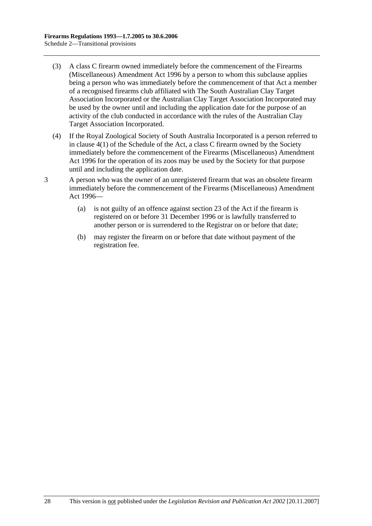- (3) A class C firearm owned immediately before the commencement of the Firearms (Miscellaneous) Amendment Act 1996 by a person to whom this subclause applies being a person who was immediately before the commencement of that Act a member of a recognised firearms club affiliated with The South Australian Clay Target Association Incorporated or the Australian Clay Target Association Incorporated may be used by the owner until and including the application date for the purpose of an activity of the club conducted in accordance with the rules of the Australian Clay Target Association Incorporated.
- (4) If the Royal Zoological Society of South Australia Incorporated is a person referred to in clause 4(1) of the Schedule of the Act, a class C firearm owned by the Society immediately before the commencement of the Firearms (Miscellaneous) Amendment Act 1996 for the operation of its zoos may be used by the Society for that purpose until and including the application date.
- 3 A person who was the owner of an unregistered firearm that was an obsolete firearm immediately before the commencement of the Firearms (Miscellaneous) Amendment Act 1996—
	- (a) is not guilty of an offence against section 23 of the Act if the firearm is registered on or before 31 December 1996 or is lawfully transferred to another person or is surrendered to the Registrar on or before that date;
	- (b) may register the firearm on or before that date without payment of the registration fee.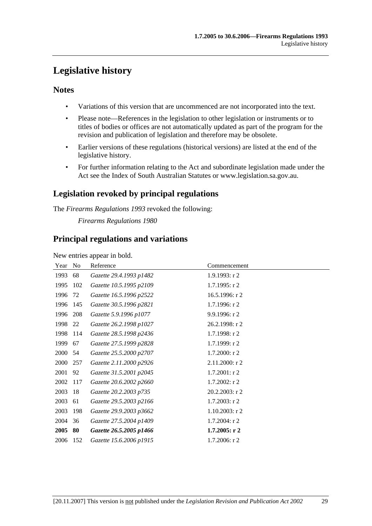# **Legislative history**

# **Notes**

- Variations of this version that are uncommenced are not incorporated into the text.
- Please note—References in the legislation to other legislation or instruments or to titles of bodies or offices are not automatically updated as part of the program for the revision and publication of legislation and therefore may be obsolete.
- Earlier versions of these regulations (historical versions) are listed at the end of the legislative history.
- For further information relating to the Act and subordinate legislation made under the Act see the Index of South Australian Statutes or www.legislation.sa.gov.au.

# **Legislation revoked by principal regulations**

The *Firearms Regulations 1993* revoked the following:

*Firearms Regulations 1980*

# **Principal regulations and variations**

New entries appear in bold.

| Year | N <sub>0</sub> | Reference               | Commencement      |
|------|----------------|-------------------------|-------------------|
| 1993 | 68             | Gazette 29.4.1993 p1482 | 1.9.1993: r2      |
| 1995 | 102            | Gazette 10.5.1995 p2109 | $1.7.1995:$ r 2   |
| 1996 | 72             | Gazette 16.5.1996 p2522 | 16.5.1996: r 2    |
| 1996 | 145            | Gazette 30.5.1996 p2821 | 1.7.1996: $r$ 2   |
| 1996 | 208            | Gazette 5.9.1996 p1077  | 9.9.1996: r2      |
| 1998 | 22             | Gazette 26.2.1998 p1027 | 26.2.1998: r 2    |
| 1998 | 114            | Gazette 28.5.1998 p2436 | $1.7.1998:$ r 2   |
| 1999 | 67             | Gazette 27.5.1999 p2828 | 1.7.1999: r2      |
| 2000 | 54             | Gazette 25.5.2000 p2707 | $1.7.2000:$ r 2   |
| 2000 | 257            | Gazette 2.11.2000 p2926 | 2.11.2000: r 2    |
| 2001 | 92             | Gazette 31.5.2001 p2045 | $1.7.2001:$ r 2   |
| 2002 | 117            | Gazette 20.6.2002 p2660 | $1.7.2002:$ r 2   |
| 2003 | 18             | Gazette 20.2.2003 p735  | $20.2.2003$ : r 2 |
| 2003 | 61             | Gazette 29.5.2003 p2166 | $1.7.2003$ : r 2  |
| 2003 | 198            | Gazette 29.9.2003 p3662 | $1.10.2003$ : r 2 |
| 2004 | 36             | Gazette 27.5.2004 p1409 | $1.7.2004$ : r 2  |
| 2005 | 80             | Gazette 26.5.2005 p1466 | $1.7.2005:$ r 2   |
| 2006 | 152            | Gazette 15.6.2006 p1915 | $1.7.2006$ : r 2  |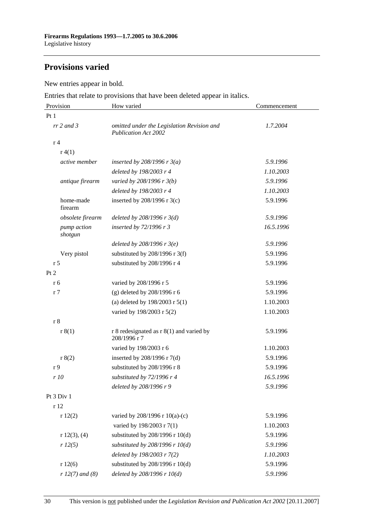# **Provisions varied**

New entries appear in bold.

Entries that relate to provisions that have been deleted appear in italics.

| Provision              | How varied                                                                | Commencement |
|------------------------|---------------------------------------------------------------------------|--------------|
| Pt1                    |                                                                           |              |
| $rr$ 2 and 3           | omitted under the Legislation Revision and<br><b>Publication Act 2002</b> | 1.7.2004     |
| r <sub>4</sub>         |                                                                           |              |
| r(4(1))                |                                                                           |              |
| active member          | inserted by 208/1996 r $3(a)$                                             | 5.9.1996     |
|                        | deleted by 198/2003 r 4                                                   | 1.10.2003    |
| antique firearm        | varied by 208/1996 r 3(b)                                                 | 5.9.1996     |
|                        | deleted by 198/2003 r 4                                                   | 1.10.2003    |
| home-made<br>firearm   | inserted by $208/1996$ r 3(c)                                             | 5.9.1996     |
| obsolete firearm       | deleted by $208/1996$ r $3(d)$                                            | 5.9.1996     |
| pump action<br>shotgun | inserted by 72/1996 r 3                                                   | 16.5.1996    |
|                        | deleted by $208/1996$ r $3(e)$                                            | 5.9.1996     |
| Very pistol            | substituted by $208/1996$ r 3(f)                                          | 5.9.1996     |
| r <sub>5</sub>         | substituted by 208/1996 r 4                                               | 5.9.1996     |
| Pt 2                   |                                                                           |              |
| r 6                    | varied by 208/1996 r 5                                                    | 5.9.1996     |
| r <sub>7</sub>         | (g) deleted by 208/1996 r 6                                               | 5.9.1996     |
|                        | (a) deleted by $198/2003$ r $5(1)$                                        | 1.10.2003    |
|                        | varied by 198/2003 r 5(2)                                                 | 1.10.2003    |
| r <sub>8</sub>         |                                                                           |              |
| r 8(1)                 | r 8 redesignated as $r 8(1)$ and varied by<br>208/1996 r 7                | 5.9.1996     |
|                        | varied by 198/2003 r 6                                                    | 1.10.2003    |
| r 8(2)                 | inserted by 208/1996 r 7(d)                                               | 5.9.1996     |
| r <sub>9</sub>         | substituted by 208/1996 r 8                                               | 5.9.1996     |
| r 10                   | substituted by 72/1996 r 4                                                | 16.5.1996    |
|                        | deleted by 208/1996 r 9                                                   | 5.9.1996     |
| Pt 3 Div 1             |                                                                           |              |
| r 12                   |                                                                           |              |
| r12(2)                 | varied by 208/1996 r 10(a)-(c)                                            | 5.9.1996     |
|                        | varied by 198/2003 r 7(1)                                                 | 1.10.2003    |
| r 12(3), (4)           | substituted by 208/1996 r 10(d)                                           | 5.9.1996     |
| r 12(5)                | substituted by $208/1996$ r $10(d)$                                       | 5.9.1996     |
|                        | deleted by 198/2003 r 7(2)                                                | 1.10.2003    |
| r12(6)                 | substituted by 208/1996 r 10(d)                                           | 5.9.1996     |
| $r 12(7)$ and (8)      | deleted by 208/1996 r 10(d)                                               | 5.9.1996     |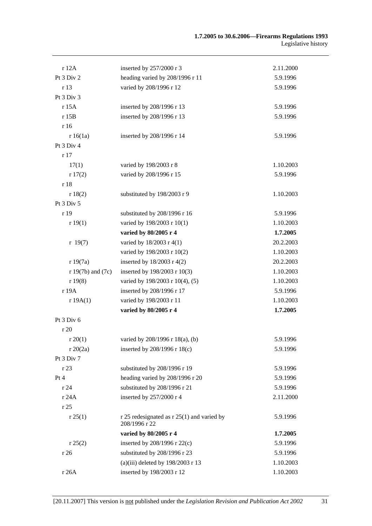| r 12A                 | inserted by 257/2000 r 3                                    | 2.11.2000 |
|-----------------------|-------------------------------------------------------------|-----------|
| Pt 3 Div 2            | heading varied by 208/1996 r 11                             | 5.9.1996  |
| r 13                  | varied by 208/1996 r 12                                     | 5.9.1996  |
| Pt 3 Div 3            |                                                             |           |
| r 15A                 | inserted by 208/1996 r 13                                   | 5.9.1996  |
| r 15B                 | inserted by 208/1996 r 13                                   | 5.9.1996  |
| r 16                  |                                                             |           |
| r16(1a)               | inserted by 208/1996 r 14                                   | 5.9.1996  |
| Pt 3 Div 4            |                                                             |           |
| r17                   |                                                             |           |
| 17(1)                 | varied by 198/2003 r 8                                      | 1.10.2003 |
| r17(2)                | varied by 208/1996 r 15                                     | 5.9.1996  |
| r 18                  |                                                             |           |
| r 18(2)               | substituted by 198/2003 r 9                                 | 1.10.2003 |
| Pt 3 Div 5            |                                                             |           |
| r 19                  | substituted by 208/1996 r 16                                | 5.9.1996  |
| r 19(1)               | varied by 198/2003 r 10(1)                                  | 1.10.2003 |
|                       | varied by 80/2005 r 4                                       | 1.7.2005  |
| r 19(7)               | varied by 18/2003 r 4(1)                                    | 20.2.2003 |
|                       | varied by 198/2003 r 10(2)                                  | 1.10.2003 |
| r 19(7a)              | inserted by $18/2003$ r 4(2)                                | 20.2.2003 |
| $r 19(7b)$ and $(7c)$ | inserted by 198/2003 r 10(3)                                | 1.10.2003 |
| r 19(8)               | varied by 198/2003 r 10(4), (5)                             | 1.10.2003 |
| r 19A                 | inserted by 208/1996 r 17                                   | 5.9.1996  |
| r 19A(1)              | varied by 198/2003 r 11                                     | 1.10.2003 |
|                       | varied by 80/2005 r 4                                       | 1.7.2005  |
| Pt 3 Div 6            |                                                             |           |
| r 20                  |                                                             |           |
| r $20(1)$             | varied by $208/1996$ r $18(a)$ , (b)                        | 5.9.1996  |
| r 20(2a)              | inserted by $208/1996$ r $18(c)$                            | 5.9.1996  |
| Pt 3 Div 7            |                                                             |           |
| r 23                  | substituted by 208/1996 r 19                                | 5.9.1996  |
| Pt 4                  | heading varied by 208/1996 r 20                             | 5.9.1996  |
| r 24                  | substituted by 208/1996 r 21                                | 5.9.1996  |
| r 24A                 | inserted by 257/2000 r 4                                    | 2.11.2000 |
| r 25                  |                                                             |           |
| r 25(1)               | r 25 redesignated as r 25(1) and varied by<br>208/1996 r 22 | 5.9.1996  |
|                       | varied by 80/2005 r 4                                       | 1.7.2005  |
| r 25(2)               | inserted by 208/1996 r 22(c)                                | 5.9.1996  |
| r 26                  | substituted by 208/1996 r 23                                | 5.9.1996  |
|                       | (a)(iii) deleted by $198/2003$ r 13                         | 1.10.2003 |
| r 26A                 | inserted by 198/2003 r 12                                   | 1.10.2003 |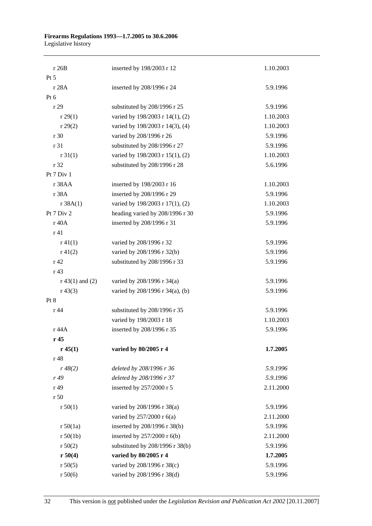#### **Firearms Regulations 1993—1.7.2005 to 30.6.2006**  Legislative history

| r 26B             | inserted by 198/2003 r 12       | 1.10.2003 |
|-------------------|---------------------------------|-----------|
| $Pt\,5$           |                                 |           |
| r 28A             | inserted by 208/1996 r 24       | 5.9.1996  |
| Pt 6              |                                 |           |
| r 29              | substituted by 208/1996 r 25    | 5.9.1996  |
| r 29(1)           | varied by 198/2003 r 14(1), (2) | 1.10.2003 |
| r 29(2)           | varied by 198/2003 r 14(3), (4) | 1.10.2003 |
| r 30              | varied by 208/1996 r 26         | 5.9.1996  |
| r 31              | substituted by 208/1996 r 27    | 5.9.1996  |
| r 31(1)           | varied by 198/2003 r 15(1), (2) | 1.10.2003 |
| r 32              | substituted by 208/1996 r 28    | 5.6.1996  |
| Pt 7 Div 1        |                                 |           |
| r 38AA            | inserted by 198/2003 r 16       | 1.10.2003 |
| r 38A             | inserted by 208/1996 r 29       | 5.9.1996  |
| r 38A(1)          | varied by 198/2003 r 17(1), (2) | 1.10.2003 |
| Pt 7 Div 2        | heading varied by 208/1996 r 30 | 5.9.1996  |
| r 40A             | inserted by 208/1996 r 31       | 5.9.1996  |
| r 41              |                                 |           |
| $r\,41(1)$        | varied by 208/1996 r 32         | 5.9.1996  |
| $r\ 41(2)$        | varied by 208/1996 r 32(b)      | 5.9.1996  |
| r 42              | substituted by 208/1996 r 33    | 5.9.1996  |
| r <sub>43</sub>   |                                 |           |
| $r 43(1)$ and (2) | varied by 208/1996 r 34(a)      | 5.9.1996  |
| $r\,43(3)$        | varied by 208/1996 r 34(a), (b) | 5.9.1996  |
| Pt 8              |                                 |           |
| r 44              | substituted by 208/1996 r 35    | 5.9.1996  |
|                   | varied by 198/2003 r 18         | 1.10.2003 |
| r 44A             | inserted by 208/1996 r 35       | 5.9.1996  |
| r <sub>45</sub>   |                                 |           |
| r 45(1)           | varied by 80/2005 r 4           | 1.7.2005  |
| r 48              |                                 |           |
| r 48(2)           | deleted by 208/1996 r 36        | 5.9.1996  |
| r 49              | deleted by 208/1996 r 37        | 5.9.1996  |
| r 49              | inserted by 257/2000 r 5        | 2.11.2000 |
| r 50              |                                 |           |
| r 50(1)           | varied by 208/1996 r 38(a)      | 5.9.1996  |
|                   | varied by 257/2000 r 6(a)       | 2.11.2000 |
| r 50(1a)          | inserted by 208/1996 r 38(b)    | 5.9.1996  |
| r 50(1b)          | inserted by 257/2000 r 6(b)     | 2.11.2000 |
| r 50(2)           | substituted by 208/1996 r 38(b) | 5.9.1996  |
| r 50(4)           | varied by 80/2005 r 4           | 1.7.2005  |
| r 50(5)           | varied by 208/1996 r 38(c)      | 5.9.1996  |
| r 50(6)           | varied by 208/1996 r 38(d)      | 5.9.1996  |